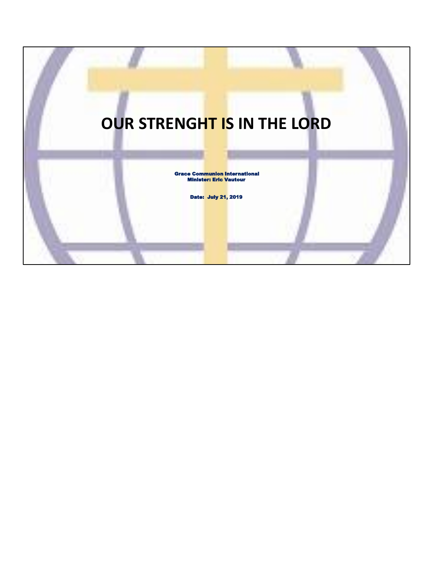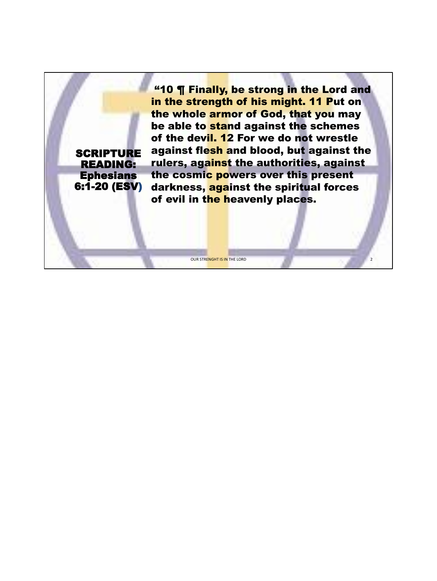**SCRIPTURE** READING: **Ephesians** 6:1-20 (ESV)

"10 ¶ Finally, be strong in the Lord and in the strength of his might. 11 Put on the whole armor of God, that you may be able to stand against the schemes of the devil. 12 For we do not wrestle against flesh and blood, but against the rulers, against the authorities, against the cosmic powers over this present darkness, against the spiritual forces of evil in the heavenly places.

OUR STRENGHT IS IN THE LORD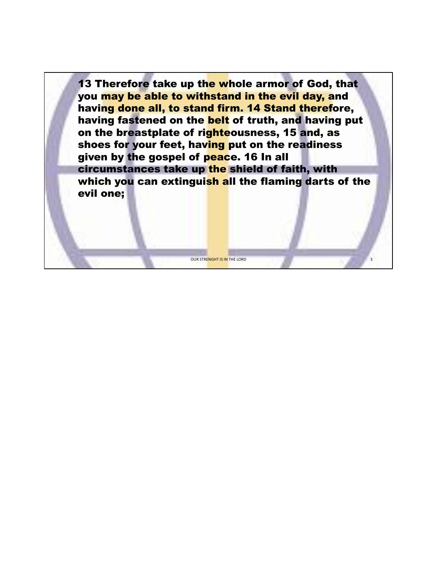13 Therefore take up the whole armor of God, that you may be able to withstand in the evil day, and having done all, to stand firm. 14 Stand therefore, having fastened on the belt of truth, and having put on the breastplate of righteousness, 15 and, as shoes for your feet, having put on the readiness given by the gospel of peace. 16 In all circumstances take up the shield of faith, with which you can extinguish all the flaming darts of the evil one;

OUR STRENGHT IS IN THE LORD

3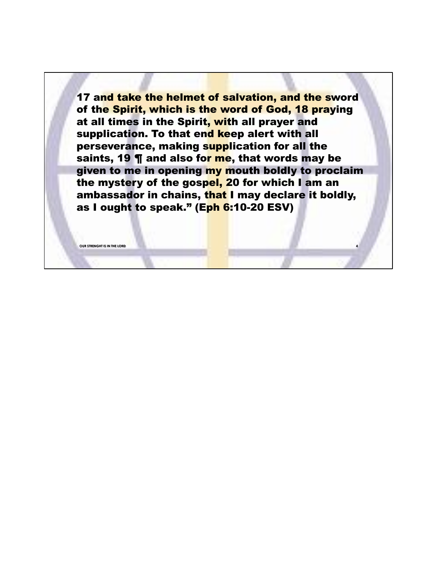17 and take the helmet of salvation, and the sword of the Spirit, which is the word of God, 18 praying at all times in the Spirit, with all prayer and supplication. To that end keep alert with all perseverance, making supplication for all the saints, 19 ¶ and also for me, that words may be given to me in opening my mouth boldly to proclaim the mystery of the gospel, 20 for which I am an ambassador in chains, that I may declare it boldly, as I ought to speak." (Eph 6:10-20 ESV)

**4**

**OUR STRENGHT IS IN THE LORD**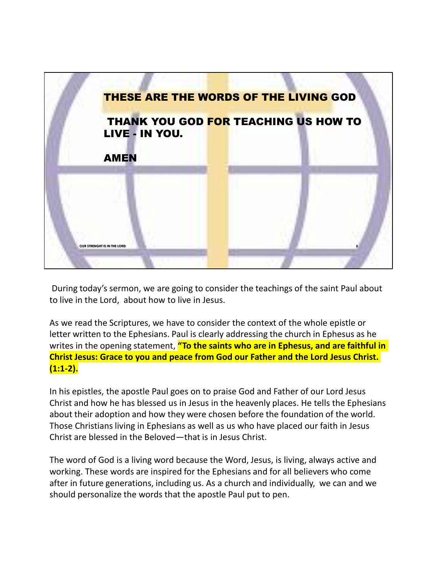

During today's sermon, we are going to consider the teachings of the saint Paul about to live in the Lord, about how to live in Jesus.

As we read the Scriptures, we have to consider the context of the whole epistle or letter written to the Ephesians. Paul is clearly addressing the church in Ephesus as he writes in the opening statement, **"To the saints who are in Ephesus, and are faithful in Christ Jesus: Grace to you and peace from God our Father and the Lord Jesus Christ. (1:1-2).**

In his epistles, the apostle Paul goes on to praise God and Father of our Lord Jesus Christ and how he has blessed us in Jesus in the heavenly places. He tells the Ephesians about their adoption and how they were chosen before the foundation of the world. Those Christians living in Ephesians as well as us who have placed our faith in Jesus Christ are blessed in the Beloved—that is in Jesus Christ.

The word of God is a living word because the Word, Jesus, is living, always active and working. These words are inspired for the Ephesians and for all believers who come after in future generations, including us. As a church and individually, we can and we should personalize the words that the apostle Paul put to pen.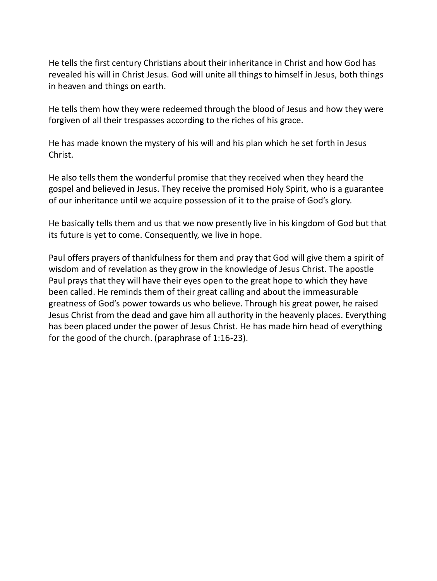He tells the first century Christians about their inheritance in Christ and how God has revealed his will in Christ Jesus. God will unite all things to himself in Jesus, both things in heaven and things on earth.

He tells them how they were redeemed through the blood of Jesus and how they were forgiven of all their trespasses according to the riches of his grace.

He has made known the mystery of his will and his plan which he set forth in Jesus Christ.

He also tells them the wonderful promise that they received when they heard the gospel and believed in Jesus. They receive the promised Holy Spirit, who is a guarantee of our inheritance until we acquire possession of it to the praise of God's glory.

He basically tells them and us that we now presently live in his kingdom of God but that its future is yet to come. Consequently, we live in hope.

Paul offers prayers of thankfulness for them and pray that God will give them a spirit of wisdom and of revelation as they grow in the knowledge of Jesus Christ. The apostle Paul prays that they will have their eyes open to the great hope to which they have been called. He reminds them of their great calling and about the immeasurable greatness of God's power towards us who believe. Through his great power, he raised Jesus Christ from the dead and gave him all authority in the heavenly places. Everything has been placed under the power of Jesus Christ. He has made him head of everything for the good of the church. (paraphrase of 1:16-23).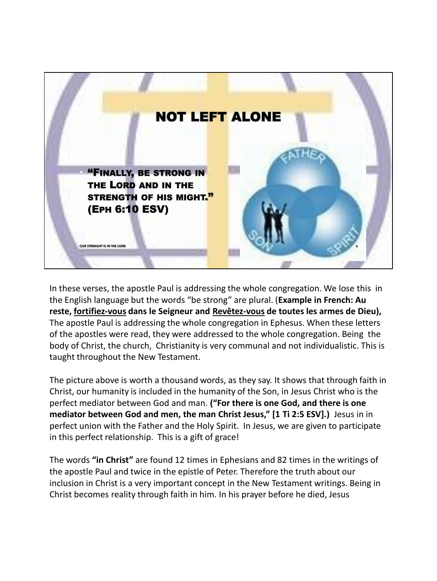

In these verses, the apostle Paul is addressing the whole congregation. We lose this in the English language but the words "be strong" are plural. (**Example in French: Au reste, fortifiez-vous dans le Seigneur and Revêtez-vous de toutes les armes de Dieu),** The apostle Paul is addressing the whole congregation in Ephesus. When these letters of the apostles were read, they were addressed to the whole congregation. Being the body of Christ, the church, Christianity is very communal and not individualistic. This is taught throughout the New Testament.

The picture above is worth a thousand words, as they say. It shows that through faith in Christ, our humanity is included in the humanity of the Son, in Jesus Christ who is the perfect mediator between God and man. **("For there is one God, and there is one mediator between God and men, the man Christ Jesus," [1 Ti 2:5 ESV].)** Jesus in in perfect union with the Father and the Holy Spirit. In Jesus, we are given to participate in this perfect relationship. This is a gift of grace!

The words **"in Christ"** are found 12 times in Ephesians and 82 times in the writings of the apostle Paul and twice in the epistle of Peter. Therefore the truth about our inclusion in Christ is a very important concept in the New Testament writings. Being in Christ becomes reality through faith in him. In his prayer before he died, Jesus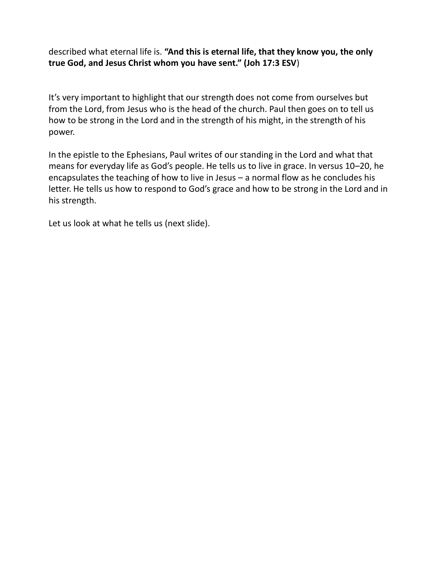described what eternal life is. **"And this is eternal life, that they know you, the only true God, and Jesus Christ whom you have sent." (Joh 17:3 ESV**)

It's very important to highlight that our strength does not come from ourselves but from the Lord, from Jesus who is the head of the church. Paul then goes on to tell us how to be strong in the Lord and in the strength of his might, in the strength of his power.

In the epistle to the Ephesians, Paul writes of our standing in the Lord and what that means for everyday life as God's people. He tells us to live in grace. In versus 10–20, he encapsulates the teaching of how to live in Jesus – a normal flow as he concludes his letter. He tells us how to respond to God's grace and how to be strong in the Lord and in his strength.

Let us look at what he tells us (next slide).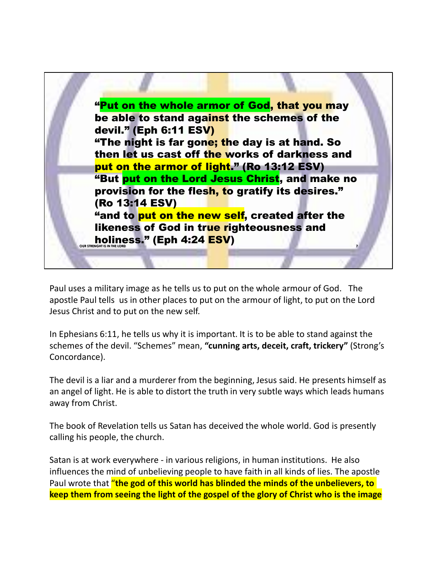

Paul uses a military image as he tells us to put on the whole armour of God. The apostle Paul tells us in other places to put on the armour of light, to put on the Lord Jesus Christ and to put on the new self.

In Ephesians 6:11, he tells us why it is important. It is to be able to stand against the schemes of the devil. "Schemes" mean, **"cunning arts, deceit, craft, trickery"** (Strong's Concordance).

The devil is a liar and a murderer from the beginning, Jesus said. He presents himself as an angel of light. He is able to distort the truth in very subtle ways which leads humans away from Christ.

The book of Revelation tells us Satan has deceived the whole world. God is presently calling his people, the church.

Satan is at work everywhere - in various religions, in human institutions. He also influences the mind of unbelieving people to have faith in all kinds of lies. The apostle Paul wrote that "**the god of this world has blinded the minds of the unbelievers, to keep them from seeing the light of the gospel of the glory of Christ who is the image**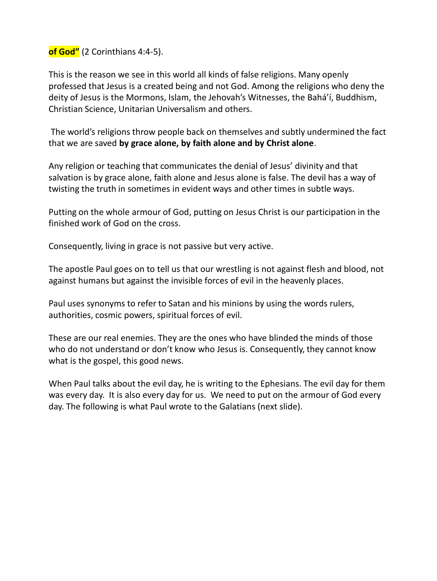**of God"** (2 Corinthians 4:4-5).

This is the reason we see in this world all kinds of false religions. Many openly professed that Jesus is a created being and not God. Among the religions who deny the deity of Jesus is the Mormons, Islam, the Jehovah's Witnesses, the Bahá'í, Buddhism, Christian Science, Unitarian Universalism and others.

The world's religions throw people back on themselves and subtly undermined the fact that we are saved **by grace alone, by faith alone and by Christ alone**.

Any religion or teaching that communicates the denial of Jesus' divinity and that salvation is by grace alone, faith alone and Jesus alone is false. The devil has a way of twisting the truth in sometimes in evident ways and other times in subtle ways.

Putting on the whole armour of God, putting on Jesus Christ is our participation in the finished work of God on the cross.

Consequently, living in grace is not passive but very active.

The apostle Paul goes on to tell us that our wrestling is not against flesh and blood, not against humans but against the invisible forces of evil in the heavenly places.

Paul uses synonyms to refer to Satan and his minions by using the words rulers, authorities, cosmic powers, spiritual forces of evil.

These are our real enemies. They are the ones who have blinded the minds of those who do not understand or don't know who Jesus is. Consequently, they cannot know what is the gospel, this good news.

When Paul talks about the evil day, he is writing to the Ephesians. The evil day for them was every day. It is also every day for us. We need to put on the armour of God every day. The following is what Paul wrote to the Galatians (next slide).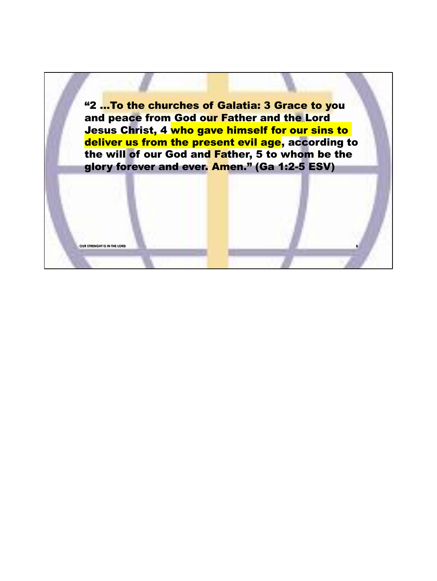"2 …To the churches of Galatia: 3 Grace to you and peace from God our Father and the Lord Jesus Christ, 4 who gave himself for our sins to deliver us from the present evil age, according to the will of our God and Father, 5 to whom be the glory forever and ever. Amen." (Ga 1:2-5 ESV)

**OUR STRENGHT IS IN THE LORD** 

**8**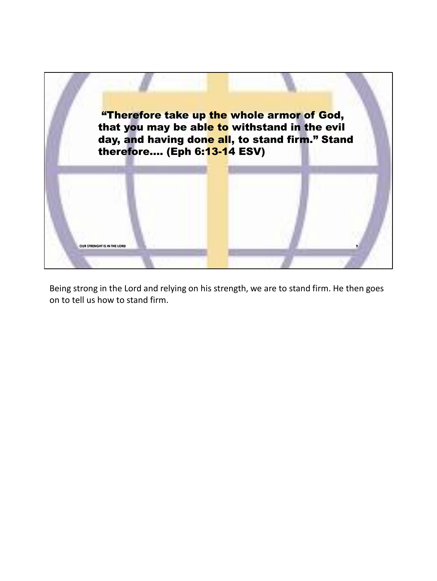

Being strong in the Lord and relying on his strength, we are to stand firm. He then goes on to tell us how to stand firm.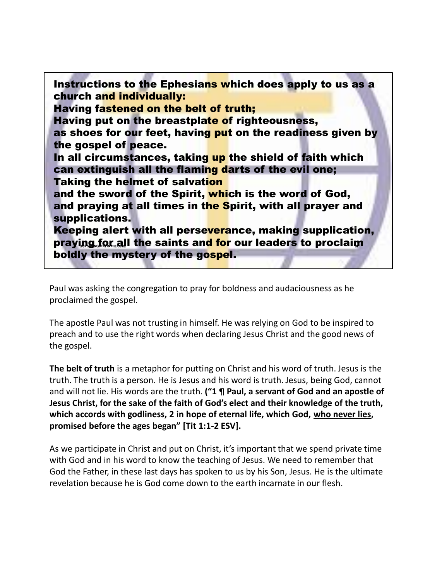praying for all the saints and for our leaders to proclaim Instructions to the Ephesians which does apply to us as a church and individually: Having fastened on the belt of truth; Having put on the breastplate of righteousness, as shoes for our feet, having put on the readiness given by the gospel of peace. In all circumstances, taking up the shield of faith which can extinguish all the flaming darts of the evil one; Taking the helmet of salvation and the sword of the Spirit, which is the word of God, and praying at all times in the Spirit, with all prayer and supplications. Keeping alert with all perseverance, making supplication, boldly the mystery of the gospel.

Paul was asking the congregation to pray for boldness and audaciousness as he proclaimed the gospel.

The apostle Paul was not trusting in himself. He was relying on God to be inspired to preach and to use the right words when declaring Jesus Christ and the good news of the gospel.

**The belt of truth** is a metaphor for putting on Christ and his word of truth. Jesus is the truth. The truth is a person. He is Jesus and his word is truth. Jesus, being God, cannot and will not lie. His words are the truth. **("1 ¶ Paul, a servant of God and an apostle of Jesus Christ, for the sake of the faith of God's elect and their knowledge of the truth, which accords with godliness, 2 in hope of eternal life, which God, who never lies, promised before the ages began" [Tit 1:1-2 ESV].**

As we participate in Christ and put on Christ, it's important that we spend private time with God and in his word to know the teaching of Jesus. We need to remember that God the Father, in these last days has spoken to us by his Son, Jesus. He is the ultimate revelation because he is God come down to the earth incarnate in our flesh.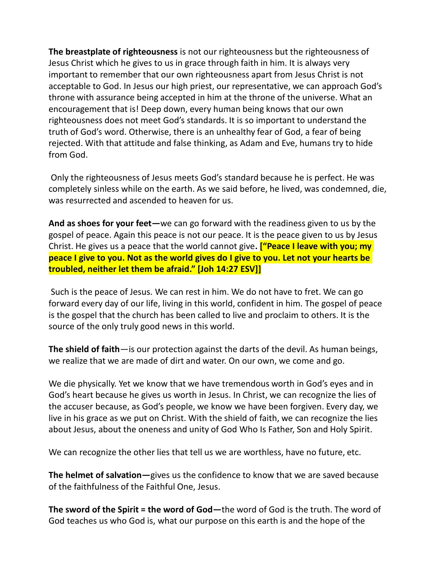**The breastplate of righteousness** is not our righteousness but the righteousness of Jesus Christ which he gives to us in grace through faith in him. It is always very important to remember that our own righteousness apart from Jesus Christ is not acceptable to God. In Jesus our high priest, our representative, we can approach God's throne with assurance being accepted in him at the throne of the universe. What an encouragement that is! Deep down, every human being knows that our own righteousness does not meet God's standards. It is so important to understand the truth of God's word. Otherwise, there is an unhealthy fear of God, a fear of being rejected. With that attitude and false thinking, as Adam and Eve, humans try to hide from God.

Only the righteousness of Jesus meets God's standard because he is perfect. He was completely sinless while on the earth. As we said before, he lived, was condemned, die, was resurrected and ascended to heaven for us.

**And as shoes for your feet—**we can go forward with the readiness given to us by the gospel of peace. Again this peace is not our peace. It is the peace given to us by Jesus Christ. He gives us a peace that the world cannot give**. ["Peace I leave with you; my peace I give to you. Not as the world gives do I give to you. Let not your hearts be troubled, neither let them be afraid." [Joh 14:27 ESV]]**

Such is the peace of Jesus. We can rest in him. We do not have to fret. We can go forward every day of our life, living in this world, confident in him. The gospel of peace is the gospel that the church has been called to live and proclaim to others. It is the source of the only truly good news in this world.

**The shield of faith**—is our protection against the darts of the devil. As human beings, we realize that we are made of dirt and water. On our own, we come and go.

We die physically. Yet we know that we have tremendous worth in God's eyes and in God's heart because he gives us worth in Jesus. In Christ, we can recognize the lies of the accuser because, as God's people, we know we have been forgiven. Every day, we live in his grace as we put on Christ. With the shield of faith, we can recognize the lies about Jesus, about the oneness and unity of God Who Is Father, Son and Holy Spirit.

We can recognize the other lies that tell us we are worthless, have no future, etc.

**The helmet of salvation—**gives us the confidence to know that we are saved because of the faithfulness of the Faithful One, Jesus.

**The sword of the Spirit = the word of God—**the word of God is the truth. The word of God teaches us who God is, what our purpose on this earth is and the hope of the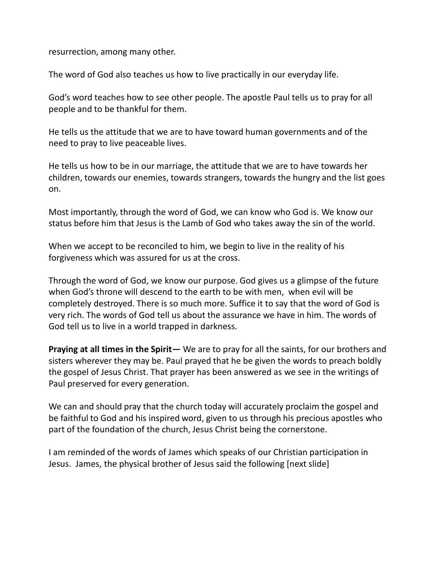resurrection, among many other.

The word of God also teaches us how to live practically in our everyday life.

God's word teaches how to see other people. The apostle Paul tells us to pray for all people and to be thankful for them.

He tells us the attitude that we are to have toward human governments and of the need to pray to live peaceable lives.

He tells us how to be in our marriage, the attitude that we are to have towards her children, towards our enemies, towards strangers, towards the hungry and the list goes on.

Most importantly, through the word of God, we can know who God is. We know our status before him that Jesus is the Lamb of God who takes away the sin of the world.

When we accept to be reconciled to him, we begin to live in the reality of his forgiveness which was assured for us at the cross.

Through the word of God, we know our purpose. God gives us a glimpse of the future when God's throne will descend to the earth to be with men, when evil will be completely destroyed. There is so much more. Suffice it to say that the word of God is very rich. The words of God tell us about the assurance we have in him. The words of God tell us to live in a world trapped in darkness.

**Praying at all times in the Spirit—** We are to pray for all the saints, for our brothers and sisters wherever they may be. Paul prayed that he be given the words to preach boldly the gospel of Jesus Christ. That prayer has been answered as we see in the writings of Paul preserved for every generation.

We can and should pray that the church today will accurately proclaim the gospel and be faithful to God and his inspired word, given to us through his precious apostles who part of the foundation of the church, Jesus Christ being the cornerstone.

I am reminded of the words of James which speaks of our Christian participation in Jesus. James, the physical brother of Jesus said the following [next slide]